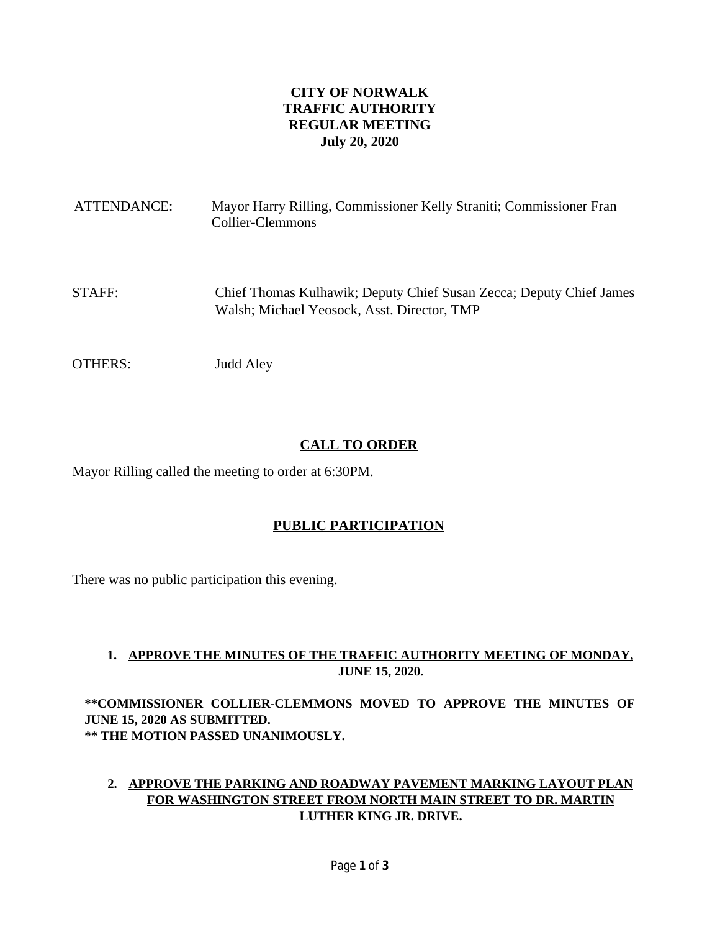# **CITY OF NORWALK TRAFFIC AUTHORITY REGULAR MEETING July 20, 2020**

| ATTENDANCE: | Mayor Harry Rilling, Commissioner Kelly Straniti; Commissioner Fran<br>Collier-Clemmons                            |
|-------------|--------------------------------------------------------------------------------------------------------------------|
| STAFF:      | Chief Thomas Kulhawik; Deputy Chief Susan Zecca; Deputy Chief James<br>Walsh; Michael Yeosock, Asst. Director, TMP |
| OTHERS:     | Judd Aley                                                                                                          |

# **CALL TO ORDER**

Mayor Rilling called the meeting to order at 6:30PM.

# **PUBLIC PARTICIPATION**

There was no public participation this evening.

### **1. APPROVE THE MINUTES OF THE TRAFFIC AUTHORITY MEETING OF MONDAY, JUNE 15, 2020.**

**\*\*COMMISSIONER COLLIER-CLEMMONS MOVED TO APPROVE THE MINUTES OF JUNE 15, 2020 AS SUBMITTED. \*\* THE MOTION PASSED UNANIMOUSLY.**

### **2. APPROVE THE PARKING AND ROADWAY PAVEMENT MARKING LAYOUT PLAN FOR WASHINGTON STREET FROM NORTH MAIN STREET TO DR. MARTIN LUTHER KING JR. DRIVE.**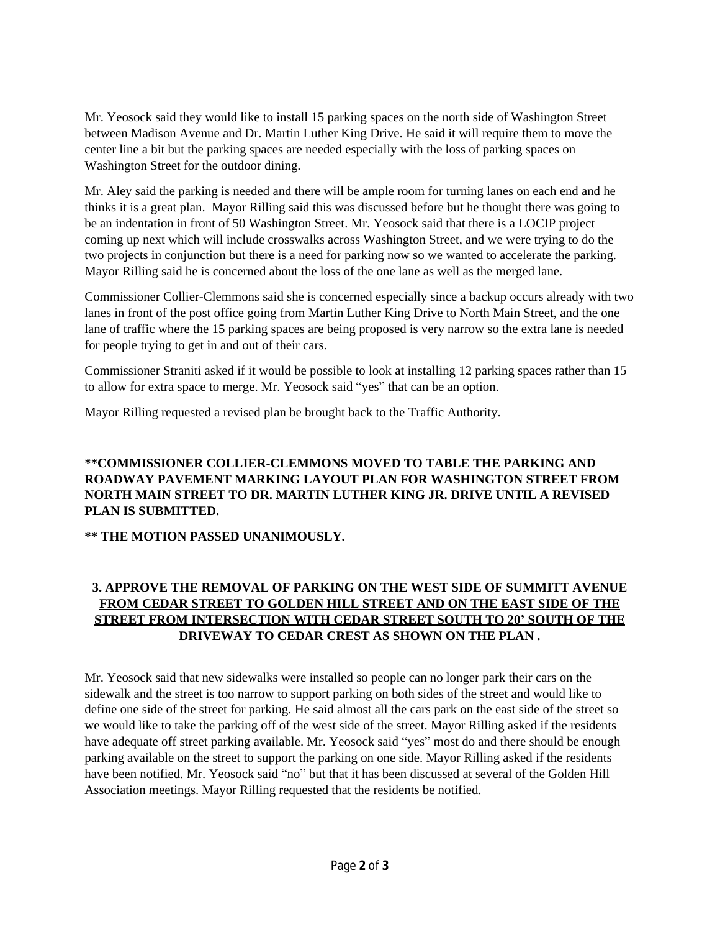Mr. Yeosock said they would like to install 15 parking spaces on the north side of Washington Street between Madison Avenue and Dr. Martin Luther King Drive. He said it will require them to move the center line a bit but the parking spaces are needed especially with the loss of parking spaces on Washington Street for the outdoor dining.

Mr. Aley said the parking is needed and there will be ample room for turning lanes on each end and he thinks it is a great plan. Mayor Rilling said this was discussed before but he thought there was going to be an indentation in front of 50 Washington Street. Mr. Yeosock said that there is a LOCIP project coming up next which will include crosswalks across Washington Street, and we were trying to do the two projects in conjunction but there is a need for parking now so we wanted to accelerate the parking. Mayor Rilling said he is concerned about the loss of the one lane as well as the merged lane.

Commissioner Collier-Clemmons said she is concerned especially since a backup occurs already with two lanes in front of the post office going from Martin Luther King Drive to North Main Street, and the one lane of traffic where the 15 parking spaces are being proposed is very narrow so the extra lane is needed for people trying to get in and out of their cars.

Commissioner Straniti asked if it would be possible to look at installing 12 parking spaces rather than 15 to allow for extra space to merge. Mr. Yeosock said "yes" that can be an option.

Mayor Rilling requested a revised plan be brought back to the Traffic Authority.

### **\*\*COMMISSIONER COLLIER-CLEMMONS MOVED TO TABLE THE PARKING AND ROADWAY PAVEMENT MARKING LAYOUT PLAN FOR WASHINGTON STREET FROM NORTH MAIN STREET TO DR. MARTIN LUTHER KING JR. DRIVE UNTIL A REVISED PLAN IS SUBMITTED.**

# **\*\* THE MOTION PASSED UNANIMOUSLY.**

# **3. APPROVE THE REMOVAL OF PARKING ON THE WEST SIDE OF SUMMITT AVENUE FROM CEDAR STREET TO GOLDEN HILL STREET AND ON THE EAST SIDE OF THE STREET FROM INTERSECTION WITH CEDAR STREET SOUTH TO 20' SOUTH OF THE DRIVEWAY TO CEDAR CREST AS SHOWN ON THE PLAN .**

Mr. Yeosock said that new sidewalks were installed so people can no longer park their cars on the sidewalk and the street is too narrow to support parking on both sides of the street and would like to define one side of the street for parking. He said almost all the cars park on the east side of the street so we would like to take the parking off of the west side of the street. Mayor Rilling asked if the residents have adequate off street parking available. Mr. Yeosock said "yes" most do and there should be enough parking available on the street to support the parking on one side. Mayor Rilling asked if the residents have been notified. Mr. Yeosock said "no" but that it has been discussed at several of the Golden Hill Association meetings. Mayor Rilling requested that the residents be notified.